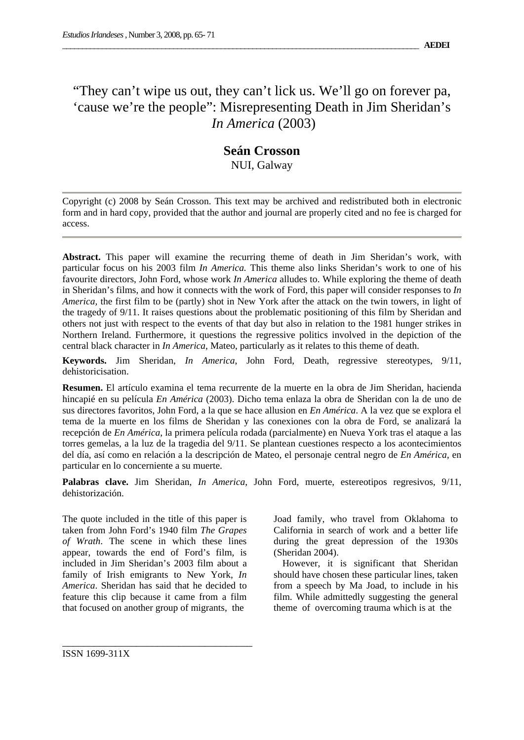"They can't wipe us out, they can't lick us. We'll go on forever pa, 'cause we're the people": Misrepresenting Death in Jim Sheridan's *In America* (2003)

## **Seán Crosson**  NUI, Galway

Copyright (c) 2008 by Seán Crosson. This text may be archived and redistributed both in electronic form and in hard copy, provided that the author and journal are properly cited and no fee is charged for access.

**Abstract.** This paper will examine the recurring theme of death in Jim Sheridan's work, with particular focus on his 2003 film *In America.* This theme also links Sheridan's work to one of his favourite directors, John Ford, whose work *In America* alludes to. While exploring the theme of death in Sheridan's films, and how it connects with the work of Ford, this paper will consider responses to *In America,* the first film to be (partly) shot in New York after the attack on the twin towers, in light of the tragedy of 9/11. It raises questions about the problematic positioning of this film by Sheridan and others not just with respect to the events of that day but also in relation to the 1981 hunger strikes in Northern Ireland. Furthermore, it questions the regressive politics involved in the depiction of the central black character in *In America*, Mateo, particularly as it relates to this theme of death.

**Keywords.** Jim Sheridan, *In America*, John Ford, Death, regressive stereotypes, 9/11, dehistoricisation.

**Resumen.** El artículo examina el tema recurrente de la muerte en la obra de Jim Sheridan, hacienda hincapié en su película *En América* (2003). Dicho tema enlaza la obra de Sheridan con la de uno de sus directores favoritos, John Ford, a la que se hace allusion en *En América*. A la vez que se explora el tema de la muerte en los films de Sheridan y las conexiones con la obra de Ford, se analizará la recepción de *En América*, la primera película rodada (parcialmente) en Nueva York tras el ataque a las torres gemelas, a la luz de la tragedia del 9/11. Se plantean cuestiones respecto a los acontecimientos del día, así como en relación a la descripción de Mateo, el personaje central negro de *En América,* en particular en lo concerniente a su muerte.

**Palabras clave.** Jim Sheridan, *In America*, John Ford, muerte, estereotipos regresivos, 9/11, dehistorización.

The quote included in the title of this paper is taken from John Ford's 1940 film *The Grapes of Wrath*. The scene in which these lines appear, towards the end of Ford's film, is included in Jim Sheridan's 2003 film about a family of Irish emigrants to New York, *In America*. Sheridan has said that he decided to feature this clip because it came from a film that focused on another group of migrants, the

\_\_\_\_\_\_\_\_\_\_\_\_\_\_\_\_\_\_\_\_\_\_\_\_\_\_\_\_\_\_\_\_\_\_\_\_

Joad family, who travel from Oklahoma to California in search of work and a better life during the great depression of the 1930s (Sheridan 2004).

However, it is significant that Sheridan should have chosen these particular lines, taken from a speech by Ma Joad, to include in his film. While admittedly suggesting the general theme of overcoming trauma which is at the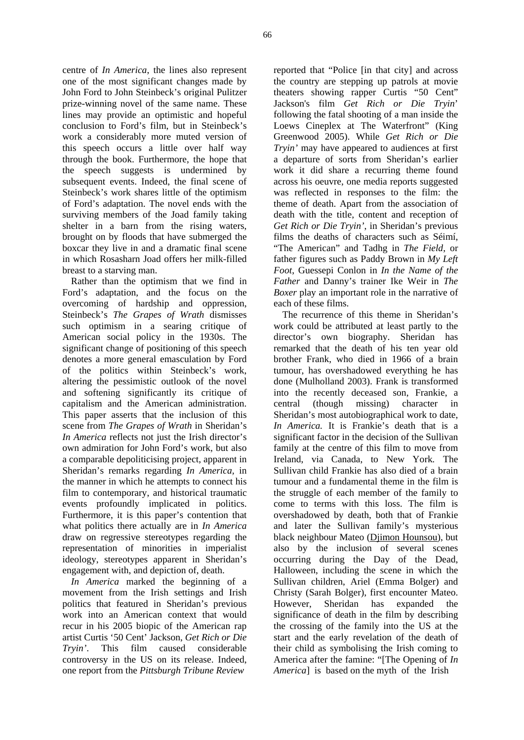centre of *In America*, the lines also represent one of the most significant changes made by John Ford to John Steinbeck's original Pulitzer prize-winning novel of the same name. These lines may provide an optimistic and hopeful conclusion to Ford's film, but in Steinbeck's work a considerably more muted version of this speech occurs a little over half way through the book. Furthermore, the hope that the speech suggests is undermined by subsequent events. Indeed, the final scene of Steinbeck's work shares little of the optimism of Ford's adaptation. The novel ends with the surviving members of the Joad family taking shelter in a barn from the rising waters, brought on by floods that have submerged the boxcar they live in and a dramatic final scene in which Rosasharn Joad offers her milk-filled breast to a starving man.

Rather than the optimism that we find in Ford's adaptation, and the focus on the overcoming of hardship and oppression, Steinbeck's *The Grapes of Wrath* dismisses such optimism in a searing critique of American social policy in the 1930s. The significant change of positioning of this speech denotes a more general emasculation by Ford of the politics within Steinbeck's work, altering the pessimistic outlook of the novel and softening significantly its critique of capitalism and the American administration. This paper asserts that the inclusion of this scene from *The Grapes of Wrath* in Sheridan's *In America* reflects not just the Irish director's own admiration for John Ford's work, but also a comparable depoliticising project, apparent in Sheridan's remarks regarding *In America,* in the manner in which he attempts to connect his film to contemporary, and historical traumatic events profoundly implicated in politics. Furthermore, it is this paper's contention that what politics there actually are in *In America* draw on regressive stereotypes regarding the representation of minorities in imperialist ideology, stereotypes apparent in Sheridan's engagement with, and depiction of, death.

*In America* marked the beginning of a movement from the Irish settings and Irish politics that featured in Sheridan's previous work into an American context that would recur in his 2005 biopic of the American rap artist Curtis '50 Cent' Jackson, *Get Rich or Die Tryin'*. This film caused considerable controversy in the US on its release. Indeed, one report from the *Pittsburgh Tribune Review*

reported that "Police [in that city] and across the country are stepping up patrols at movie theaters showing rapper Curtis "50 Cent" Jackson's film *Get Rich or Die Tryin*' following the fatal shooting of a man inside the Loews Cineplex at The Waterfront" (King Greenwood 2005). While *Get Rich or Die Tryin'* may have appeared to audiences at first a departure of sorts from Sheridan's earlier work it did share a recurring theme found across his oeuvre, one media reports suggested was reflected in responses to the film: the theme of death. Apart from the association of death with the title, content and reception of *Get Rich or Die Tryin'*, in Sheridan's previous films the deaths of characters such as Séimí, "The American" and Tadhg in *The Field*, or father figures such as Paddy Brown in *My Left Foot*, Guessepi Conlon in *In the Name of the Father* and Danny's trainer Ike Weir in *The Boxer* play an important role in the narrative of each of these films.

The recurrence of this theme in Sheridan's work could be attributed at least partly to the director's own biography. Sheridan has remarked that the death of his ten year old brother Frank, who died in 1966 of a brain tumour, has overshadowed everything he has done (Mulholland 2003). Frank is transformed into the recently deceased son, Frankie, a central (though missing) character in Sheridan's most autobiographical work to date, *In America.* It is Frankie's death that is a significant factor in the decision of the Sullivan family at the centre of this film to move from Ireland, via Canada, to New York*.* The Sullivan child Frankie has also died of a brain tumour and a fundamental theme in the film is the struggle of each member of the family to come to terms with this loss. The film is overshadowed by death, both that of Frankie and later the Sullivan family's mysterious black neighbour Mateo (Djimon Hounsou), but also by the inclusion of several scenes occurring during the Day of the Dead, Halloween, including the scene in which the Sullivan children, Ariel (Emma Bolger) and Christy (Sarah Bolger), first encounter Mateo. However, Sheridan has expanded significance of death in the film by describing the crossing of the family into the US at the start and the early revelation of the death of their child as symbolising the Irish coming to America after the famine: "[The Opening of *In America*] is based on the myth of the Irish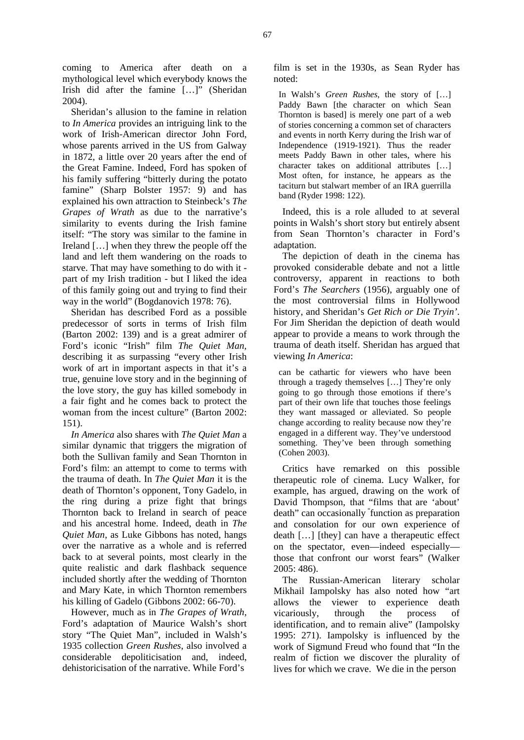coming to America after death on a mythological level which everybody knows the Irish did after the famine […]" (Sheridan 2004).

Sheridan's allusion to the famine in relation to *In America* provides an intriguing link to the work of Irish-American director John Ford, whose parents arrived in the US from Galway in 1872, a little over 20 years after the end of the Great Famine. Indeed, Ford has spoken of his family suffering "bitterly during the potato famine" (Sharp Bolster 1957: 9) and has explained his own attraction to Steinbeck's *The Grapes of Wrath* as due to the narrative's similarity to events during the Irish famine itself: "The story was similar to the famine in Ireland […] when they threw the people off the land and left them wandering on the roads to starve. That may have something to do with it part of my Irish tradition - but I liked the idea of this family going out and trying to find their way in the world" (Bogdanovich 1978: 76).

Sheridan has described Ford as a possible predecessor of sorts in terms of Irish film (Barton 2002: 139) and is a great admirer of Ford's iconic "Irish" film *The Quiet Man,* describing it as surpassing "every other Irish work of art in important aspects in that it's a true, genuine love story and in the beginning of the love story, the guy has killed somebody in a fair fight and he comes back to protect the woman from the incest culture" (Barton 2002: 151).

*In America* also shares with *The Quiet Man* a similar dynamic that triggers the migration of both the Sullivan family and Sean Thornton in Ford's film: an attempt to come to terms with the trauma of death. In *The Quiet Man* it is the death of Thornton's opponent, Tony Gadelo, in the ring during a prize fight that brings Thornton back to Ireland in search of peace and his ancestral home. Indeed, death in *The Quiet Man*, as Luke Gibbons has noted, hangs over the narrative as a whole and is referred back to at several points, most clearly in the quite realistic and dark flashback sequence included shortly after the wedding of Thornton and Mary Kate, in which Thornton remembers his killing of Gadelo (Gibbons 2002: 66-70).

However, much as in *The Grapes of Wrath*, Ford's adaptation of Maurice Walsh's short story "The Quiet Man", included in Walsh's 1935 collection *Green Rushes*, also involved a considerable depoliticisation and, indeed, dehistoricisation of the narrative. While Ford's

film is set in the 1930s, as Sean Ryder has noted:

In Walsh's *Green Rushes*, the story of […] Paddy Bawn [the character on which Sean Thornton is based] is merely one part of a web of stories concerning a common set of characters and events in north Kerry during the Irish war of Independence (1919-1921). Thus the reader meets Paddy Bawn in other tales, where his character takes on additional attributes […] Most often, for instance, he appears as the taciturn but stalwart member of an IRA guerrilla band (Ryder 1998: 122).

Indeed, this is a role alluded to at several points in Walsh's short story but entirely absent from Sean Thornton's character in Ford's adaptation.

The depiction of death in the cinema has provoked considerable debate and not a little controversy, apparent in reactions to both Ford's *The Searchers* (1956), arguably one of the most controversial films in Hollywood history, and Sheridan's *Get Rich or Die Tryin'*. For Jim Sheridan the depiction of death would appear to provide a means to work through the trauma of death itself. Sheridan has argued that viewing *In America*:

can be cathartic for viewers who have been through a tragedy themselves […] They're only going to go through those emotions if there's part of their own life that touches those feelings they want massaged or alleviated. So people change according to reality because now they're engaged in a different way. They've understood something. They've been through something (Cohen 2003).

Critics have remarked on this possible therapeutic role of cinema. Lucy Walker, for example, has argued, drawing on the work of David Thompson, that "films that are 'about' death" can occasionally "function as preparation and consolation for our own experience of death […] [they] can have a therapeutic effect on the spectator, even—indeed especially those that confront our worst fears" (Walker 2005: 486).

The Russian-American literary scholar Mikhail Iampolsky has also noted how "art allows the viewer to experience death vicariously, through the process of identification, and to remain alive" (Iampolsky 1995: 271). Iampolsky is influenced by the work of Sigmund Freud who found that "In the realm of fiction we discover the plurality of lives for which we crave. We die in the person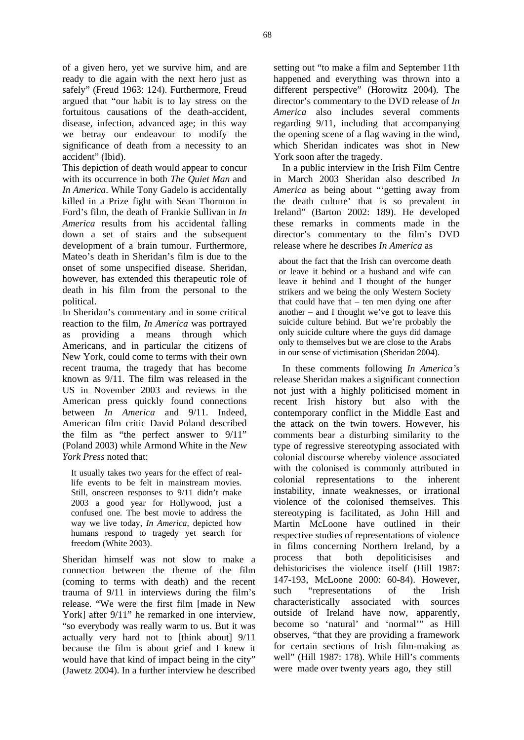of a given hero, yet we survive him, and are ready to die again with the next hero just as safely" (Freud 1963: 124). Furthermore, Freud argued that "our habit is to lay stress on the fortuitous causations of the death-accident, disease, infection, advanced age; in this way we betray our endeavour to modify the significance of death from a necessity to an accident" (Ibid).

This depiction of death would appear to concur with its occurrence in both *The Quiet Man* and *In America*. While Tony Gadelo is accidentally killed in a Prize fight with Sean Thornton in Ford's film*,* the death of Frankie Sullivan in *In America* results from his accidental falling down a set of stairs and the subsequent development of a brain tumour. Furthermore, Mateo's death in Sheridan's film is due to the onset of some unspecified disease. Sheridan, however, has extended this therapeutic role of death in his film from the personal to the political.

In Sheridan's commentary and in some critical reaction to the film, *In America* was portrayed as providing a means through which Americans, and in particular the citizens of New York, could come to terms with their own recent trauma, the tragedy that has become known as 9/11. The film was released in the US in November 2003 and reviews in the American press quickly found connections between *In America* and 9/11. Indeed, American film critic David Poland described the film as "the perfect answer to 9/11" (Poland 2003) while Armond White in the *New York Press* noted that:

It usually takes two years for the effect of reallife events to be felt in mainstream movies. Still, onscreen responses to 9/11 didn't make 2003 a good year for Hollywood, just a confused one. The best movie to address the way we live today, *In America*, depicted how humans respond to tragedy yet search for freedom (White 2003).

Sheridan himself was not slow to make a connection between the theme of the film (coming to terms with death) and the recent trauma of 9/11 in interviews during the film's release. "We were the first film [made in New York] after  $9/11$ " he remarked in one interview, "so everybody was really warm to us. But it was actually very hard not to [think about] 9/11 because the film is about grief and I knew it would have that kind of impact being in the city" (Jawetz 2004). In a further interview he described

setting out "to make a film and September 11th happened and everything was thrown into a different perspective" (Horowitz 2004). The director's commentary to the DVD release of *In America* also includes several comments regarding 9/11, including that accompanying the opening scene of a flag waving in the wind, which Sheridan indicates was shot in New York soon after the tragedy.

In a public interview in the Irish Film Centre in March 2003 Sheridan also described *In America* as being about "'getting away from the death culture' that is so prevalent in Ireland" (Barton 2002: 189). He developed these remarks in comments made in the director's commentary to the film's DVD release where he describes *In America* as

about the fact that the Irish can overcome death or leave it behind or a husband and wife can leave it behind and I thought of the hunger strikers and we being the only Western Society that could have that – ten men dying one after another – and I thought we've got to leave this suicide culture behind. But we're probably the only suicide culture where the guys did damage only to themselves but we are close to the Arabs in our sense of victimisation (Sheridan 2004).

In these comments following *In America's* release Sheridan makes a significant connection not just with a highly politicised moment in recent Irish history but also with the contemporary conflict in the Middle East and the attack on the twin towers. However, his comments bear a disturbing similarity to the type of regressive stereotyping associated with colonial discourse whereby violence associated with the colonised is commonly attributed in colonial representations to the inherent instability, innate weaknesses, or irrational violence of the colonised themselves. This stereotyping is facilitated, as John Hill and Martin McLoone have outlined in their respective studies of representations of violence in films concerning Northern Ireland, by a process that both depoliticisises and dehistoricises the violence itself (Hill 1987: 147-193, McLoone 2000: 60-84). However, such "representations of the Irish characteristically associated with sources outside of Ireland have now, apparently, become so 'natural' and 'normal'" as Hill observes, "that they are providing a framework for certain sections of Irish film-making as well" (Hill 1987: 178). While Hill's comments were made over twenty years ago, they still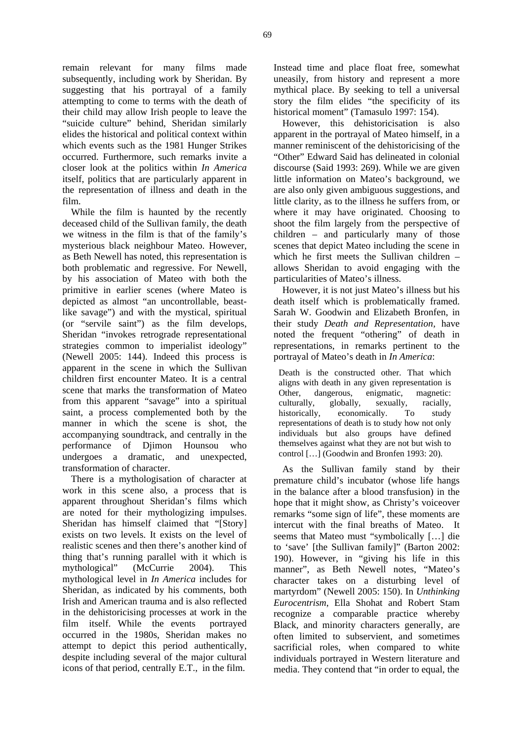remain relevant for many films made subsequently, including work by Sheridan. By suggesting that his portrayal of a family attempting to come to terms with the death of their child may allow Irish people to leave the "suicide culture" behind, Sheridan similarly elides the historical and political context within which events such as the 1981 Hunger Strikes occurred. Furthermore, such remarks invite a closer look at the politics within *In America* itself, politics that are particularly apparent in the representation of illness and death in the film.

While the film is haunted by the recently deceased child of the Sullivan family, the death we witness in the film is that of the family's mysterious black neighbour Mateo. However, as Beth Newell has noted, this representation is both problematic and regressive. For Newell, by his association of Mateo with both the primitive in earlier scenes (where Mateo is depicted as almost "an uncontrollable, beastlike savage") and with the mystical, spiritual (or "servile saint") as the film develops, Sheridan "invokes retrograde representational strategies common to imperialist ideology" (Newell 2005: 144). Indeed this process is apparent in the scene in which the Sullivan children first encounter Mateo. It is a central scene that marks the transformation of Mateo from this apparent "savage" into a spiritual saint, a process complemented both by the manner in which the scene is shot, the accompanying soundtrack, and centrally in the performance of Djimon Hounsou who undergoes a dramatic, and unexpected, transformation of character.

There is a mythologisation of character at work in this scene also, a process that is apparent throughout Sheridan's films which are noted for their mythologizing impulses. Sheridan has himself claimed that "[Story] exists on two levels. It exists on the level of realistic scenes and then there's another kind of thing that's running parallel with it which is mythological" (McCurrie 2004). This mythological level in *In America* includes for Sheridan, as indicated by his comments, both Irish and American trauma and is also reflected in the dehistoricising processes at work in the film itself. While the events portrayed occurred in the 1980s, Sheridan makes no attempt to depict this period authentically, despite including several of the major cultural icons of that period, centrally E.T., in the film.

Instead time and place float free, somewhat uneasily, from history and represent a more mythical place. By seeking to tell a universal story the film elides "the specificity of its historical moment" (Tamasulo 1997: 154).

However, this dehistoricisation is also apparent in the portrayal of Mateo himself, in a manner reminiscent of the dehistoricising of the "Other" Edward Said has delineated in colonial discourse (Said 1993: 269). While we are given little information on Mateo's background, we are also only given ambiguous suggestions, and little clarity, as to the illness he suffers from, or where it may have originated. Choosing to shoot the film largely from the perspective of children – and particularly many of those scenes that depict Mateo including the scene in which he first meets the Sullivan children – allows Sheridan to avoid engaging with the particularities of Mateo's illness.

However, it is not just Mateo's illness but his death itself which is problematically framed. Sarah W. Goodwin and Elizabeth Bronfen, in their study *Death and Representation,* have noted the frequent "othering" of death in representations, in remarks pertinent to the portrayal of Mateo's death in *In America*:

Death is the constructed other. That which aligns with death in any given representation is Other, dangerous, enigmatic, magnetic: culturally, globally, sexually, racially, historically, economically. To study representations of death is to study how not only individuals but also groups have defined themselves against what they are not but wish to control […] (Goodwin and Bronfen 1993: 20).

As the Sullivan family stand by their premature child's incubator (whose life hangs in the balance after a blood transfusion) in the hope that it might show, as Christy's voiceover remarks "some sign of life", these moments are intercut with the final breaths of Mateo. It seems that Mateo must "symbolically […] die to 'save' [the Sullivan family]" (Barton 2002: 190). However, in "giving his life in this manner", as Beth Newell notes, "Mateo's character takes on a disturbing level of martyrdom" (Newell 2005: 150). In *Unthinking Eurocentrism*, Ella Shohat and Robert Stam recognize a comparable practice whereby Black, and minority characters generally, are often limited to subservient, and sometimes sacrificial roles, when compared to white individuals portrayed in Western literature and media. They contend that "in order to equal, the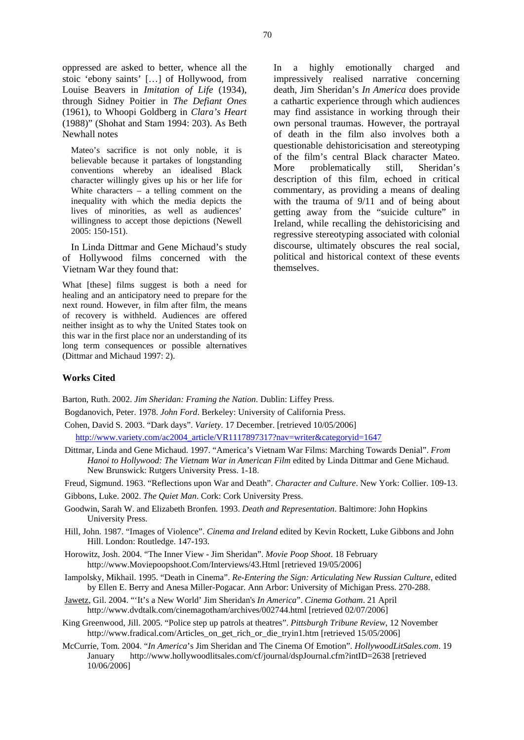oppressed are asked to better, whence all the stoic 'ebony saints' […] of Hollywood, from Louise Beavers in *Imitation of Life* (1934), through Sidney Poitier in *The Defiant Ones* (1961), to Whoopi Goldberg in *Clara's Heart* (1988)" (Shohat and Stam 1994: 203). As Beth Newhall notes

Mateo's sacrifice is not only noble, it is believable because it partakes of longstanding conventions whereby an idealised Black character willingly gives up his or her life for White characters  $-$  a telling comment on the inequality with which the media depicts the lives of minorities, as well as audiences' willingness to accept those depictions (Newell 2005: 150-151).

In Linda Dittmar and Gene Michaud's study of Hollywood films concerned with the Vietnam War they found that:

What [these] films suggest is both a need for healing and an anticipatory need to prepare for the next round. However, in film after film, the means of recovery is withheld. Audiences are offered neither insight as to why the United States took on this war in the first place nor an understanding of its long term consequences or possible alternatives (Dittmar and Michaud 1997: 2).

In a highly emotionally charged and impressively realised narrative concerning death, Jim Sheridan's *In America* does provide a cathartic experience through which audiences may find assistance in working through their own personal traumas. However, the portrayal of death in the film also involves both a questionable dehistoricisation and stereotyping of the film's central Black character Mateo. More problematically still, Sheridan's description of this film, echoed in critical commentary, as providing a means of dealing with the trauma of 9/11 and of being about getting away from the "suicide culture" in Ireland, while recalling the dehistoricising and regressive stereotyping associated with colonial discourse, ultimately obscures the real social, political and historical context of these events themselves.

## **Works Cited**

Barton, Ruth. 2002. *Jim Sheridan: Framing the Nation*. Dublin: Liffey Press.

Bogdanovich, Peter. 1978. *John Ford*. Berkeley: University of California Press.

Cohen, David S. 2003. "Dark days". *Variety*. 17 December. [retrieved 10/05/2006]

http://www.variety.com/ac2004\_article/VR1117897317?nav=writer&categoryid=1647

 Dittmar, Linda and Gene Michaud. 1997. "America's Vietnam War Films: Marching Towards Denial". *From Hanoi to Hollywood: The Vietnam War in American Film* edited by Linda Dittmar and Gene Michaud. New Brunswick: Rutgers University Press. 1-18.

Freud, Sigmund. 1963. "Reflections upon War and Death". *Character and Culture*. New York: Collier. 109-13.

Gibbons, Luke. 2002. *The Quiet Man*. Cork: Cork University Press.

- Goodwin, Sarah W. and Elizabeth Bronfen. 1993. *Death and Representation*. Baltimore: John Hopkins University Press.
- Hill, John. 1987. "Images of Violence". *Cinema and Ireland* edited by Kevin Rockett, Luke Gibbons and John Hill. London: Routledge. 147-193.
- Horowitz, Josh. 2004. "The Inner View Jim Sheridan". *Movie Poop Shoot*. 18 February http://www.Moviepoopshoot.Com/Interviews/43.Html [retrieved 19/05/2006]
- Iampolsky, Mikhail. 1995. "Death in Cinema". *Re-Entering the Sign: Articulating New Russian Culture*, edited by Ellen E. Berry and Anesa Miller-Pogacar. Ann Arbor: University of Michigan Press. 270-288.
- Jawetz, Gil. 2004. "'It's a New World' Jim Sheridan's *In America*". *Cinema Gotham*. 21 April http://www.dvdtalk.com/cinemagotham/archives/002744.html [retrieved 02/07/2006]
- King Greenwood, Jill. 2005. "Police step up patrols at theatres". *Pittsburgh Tribune Review*, 12 November http://www.fradical.com/Articles\_on\_get\_rich\_or\_die\_tryin1.htm [retrieved 15/05/2006]
- McCurrie, Tom. 2004. "*In America*'s Jim Sheridan and The Cinema Of Emotion". *HollywoodLitSales.com*. 19 January http://www.hollywoodlitsales.com/cf/journal/dspJournal.cfm?intID=2638 [retrieved 10/06/2006]